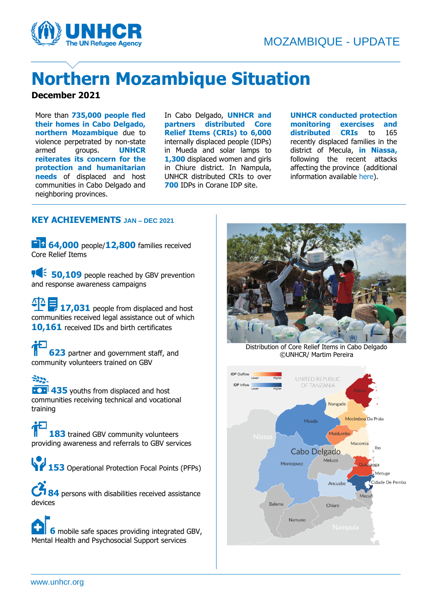

# **Northern Mozambique Situation**

#### **December 2021**

More than **735,000 people fled their homes in Cabo Delgado, northern Mozambique** due to violence perpetrated by non-state armed groups. **UNHCR reiterates its concern for the protection and humanitarian needs** of displaced and host communities in Cabo Delgado and neighboring provinces.

In Cabo Delgado, **UNHCR and partners distributed Core Relief Items (CRIs) to 6,000** internally displaced people (IDPs) in Mueda and solar lamps to **1,300** displaced women and girls in Chiure district. In Nampula, UNHCR distributed CRIs to over **700** IDPs in Corane IDP site.

**UNHCR conducted protection monitoring exercises and distributed CRIs** to 165 recently displaced families in the district of Mecula, **in Niassa,** following the recent attacks affecting the province (additional information available [here\)](https://eur02.safelinks.protection.outlook.com/?url=https%3A%2F%2Fwww.humanitarianresponse.info%2Fen%2Foperations%2Fmozambique%2Fdocument%2Fmozambique-unhcr-protection-monitoring-and-response-report-mecula&data=04%7C01%7Crobertco%40unhcr.org%7C168e49679cee410eb4a808d9c45395e1%7Ce5c37981666441348a0c6543d2af80be%7C0%7C0%7C637756685536691386%7CUnknown%7CTWFpbGZsb3d8eyJWIjoiMC4wLjAwMDAiLCJQIjoiV2luMzIiLCJBTiI6Ik1haWwiLCJXVCI6Mn0%3D%7C3000&sdata=lm127UudGcKmhvpLQp1AXvOtH4efFr6YHXxupYoEuJA%3D&reserved=0).

#### **KEY ACHIEVEMENTS JAN – DEC 2021**

**64,000** people/12,800 families received Core Relief Items

**105 50,109** people reached by GBV prevention and response awareness campaigns

17,031 people from displaced and host communities received legal assistance out of which **10,161** received IDs and birth certificates

**623** partner and government staff, and community volunteers trained on GBV

 $522 -$ **435** youths from displaced and host communities receiving technical and vocational training

**183** trained GBV community volunteers providing awareness and referrals to GBV services

**153** Operational Protection Focal Points (PFPs)

**84** persons with disabilities received assistance devices

**6** mobile safe spaces providing integrated GBV, Mental Health and Psychosocial Support services



Distribution of Core Relief Items in Cabo Delgado ©UNHCR/ Martim Pereira

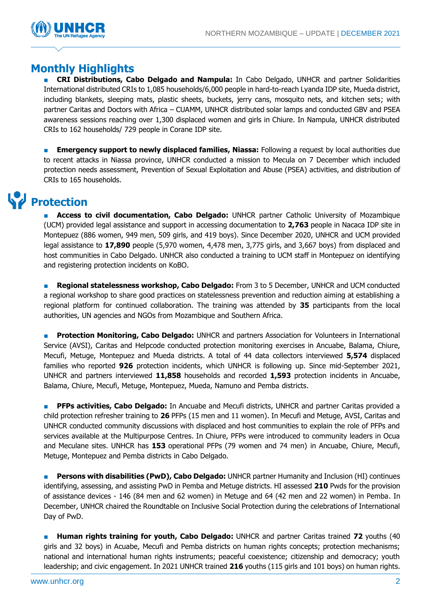

#### **Monthly Highlights**

■ **CRI Distributions, Cabo Delgado and Nampula:** In Cabo Delgado, UNHCR and partner Solidarities International distributed CRIs to 1,085 households/6,000 people in hard-to-reach Lyanda IDP site, Mueda district, including blankets, sleeping mats, plastic sheets, buckets, jerry cans, mosquito nets, and kitchen sets; with partner Caritas and Doctors with Africa – CUAMM, UNHCR distributed solar lamps and conducted GBV and PSEA awareness sessions reaching over 1,300 displaced women and girls in Chiure. In Nampula, UNHCR distributed CRIs to 162 households/ 729 people in Corane IDP site.

**Emergency support to newly displaced families, Niassa:** Following a request by local authorities due to recent attacks in Niassa province, UNHCR conducted a mission to Mecula on 7 December which included protection needs assessment, Prevention of Sexual Exploitation and Abuse (PSEA) activities, and distribution of CRIs to 165 households.

## **Protection**

**Access to civil documentation, Cabo Delgado:** UNHCR partner Catholic University of Mozambique (UCM) provided legal assistance and support in accessing documentation to **2,763** people in Nacaca IDP site in Montepuez (886 women, 949 men, 509 girls, and 419 boys). Since December 2020, UNHCR and UCM provided legal assistance to **17,890** people (5,970 women, 4,478 men, 3,775 girls, and 3,667 boys) from displaced and host communities in Cabo Delgado. UNHCR also conducted a training to UCM staff in Montepuez on identifying and registering protection incidents on KoBO.

**Regional statelessness workshop, Cabo Delgado:** From 3 to 5 December, UNHCR and UCM conducted a regional workshop to share good practices on statelessness prevention and reduction aiming at establishing a regional platform for continued collaboration. The training was attended by **35** participants from the local authorities, UN agencies and NGOs from Mozambique and Southern Africa.

**Protection Monitoring, Cabo Delgado:** UNHCR and partners Association for Volunteers in International Service (AVSI), Caritas and Helpcode conducted protection monitoring exercises in Ancuabe, Balama, Chiure, Mecufi, Metuge, Montepuez and Mueda districts. A total of 44 data collectors interviewed **5,574** displaced families who reported **926** protection incidents, which UNHCR is following up. Since mid-September 2021, UNHCR and partners interviewed **11,858** households and recorded **1,593** protection incidents in Ancuabe, Balama, Chiure, Mecufi, Metuge, Montepuez, Mueda, Namuno and Pemba districts.

**PFPs activities, Cabo Delgado:** In Ancuabe and Mecufi districts, UNHCR and partner Caritas provided a child protection refresher training to **26** PFPs (15 men and 11 women). In Mecufi and Metuge, AVSI, Caritas and UNHCR conducted community discussions with displaced and host communities to explain the role of PFPs and services available at the Multipurpose Centres. In Chiure, PFPs were introduced to community leaders in Ocua and Meculane sites. UNHCR has **153** operational PFPs (79 women and 74 men) in Ancuabe, Chiure, Mecufi, Metuge, Montepuez and Pemba districts in Cabo Delgado.

**Persons with disabilities (PwD), Cabo Delgado:** UNHCR partner Humanity and Inclusion (HI) continues identifying, assessing, and assisting PwD in Pemba and Metuge districts. HI assessed **210** Pwds for the provision of assistance devices - 146 (84 men and 62 women) in Metuge and 64 (42 men and 22 women) in Pemba. In December, UNHCR chaired the Roundtable on Inclusive Social Protection during the celebrations of International Day of PwD.

■ **Human rights training for youth, Cabo Delgado:** UNHCR and partner Caritas trained **72** youths (40 girls and 32 boys) in Acuabe, Mecufi and Pemba districts on human rights concepts; protection mechanisms; national and international human rights instruments; peaceful coexistence; citizenship and democracy; youth leadership; and civic engagement. In 2021 UNHCR trained **216** youths (115 girls and 101 boys) on human rights.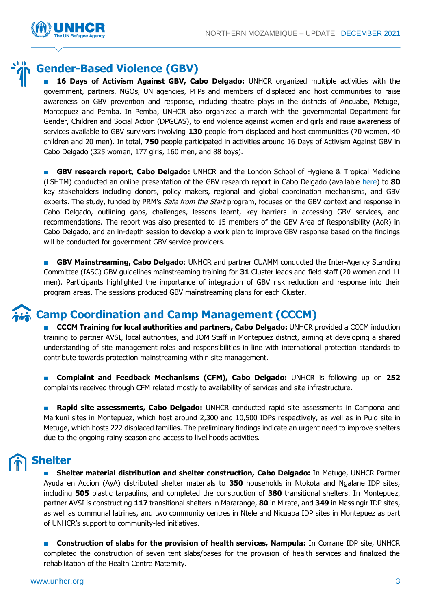

### **Gender-Based Violence (GBV)**

16 Days of Activism Against GBV, Cabo Delgado: UNHCR organized multiple activities with the government, partners, NGOs, UN agencies, PFPs and members of displaced and host communities to raise awareness on GBV prevention and response, including theatre plays in the districts of Ancuabe, Metuge, Montepuez and Pemba. In Pemba, UNHCR also organized a march with the governmental Department for Gender, Children and Social Action (DPGCAS), to end violence against women and girls and raise awareness of services available to GBV survivors involving **130** people from displaced and host communities (70 women, 40 children and 20 men). In total, **750** people participated in activities around 16 Days of Activism Against GBV in Cabo Delgado (325 women, 177 girls, 160 men, and 88 boys).

■ **GBV research report, Cabo Delgado:** UNHCR and the London School of Hygiene & Tropical Medicine (LSHTM) conducted an online presentation of the GBV research report in Cabo Delgado (available [here\)](https://www.lshtm.ac.uk/media/56321) to **80** key stakeholders including donors, policy makers, regional and global coordination mechanisms, and GBV experts. The study, funded by PRM's *Safe from the Start* program, focuses on the GBV context and response in Cabo Delgado, outlining gaps, challenges, lessons learnt, key barriers in accessing GBV services, and recommendations. The report was also presented to 15 members of the GBV Area of Responsibility (AoR) in Cabo Delgado, and an in-depth session to develop a work plan to improve GBV response based on the findings will be conducted for government GBV service providers.

**BBV Mainstreaming, Cabo Delgado:** UNHCR and partner CUAMM conducted the Inter-Agency Standing Committee (IASC) GBV guidelines mainstreaming training for **31** Cluster leads and field staff (20 women and 11 men). Participants highlighted the importance of integration of GBV risk reduction and response into their program areas. The sessions produced GBV mainstreaming plans for each Cluster.

#### **Camp Coordination and Camp Management (CCCM)**

**E CCCM Training for local authorities and partners, Cabo Delgado: UNHCR provided a CCCM induction** training to partner AVSI, local authorities, and IOM Staff in Montepuez district, aiming at developing a shared understanding of site management roles and responsibilities in line with international protection standards to contribute towards protection mainstreaming within site management.

■ **Complaint and Feedback Mechanisms (CFM), Cabo Delgado:** UNHCR is following up on **252**  complaints received through CFM related mostly to availability of services and site infrastructure.

**Rapid site assessments, Cabo Delgado:** UNHCR conducted rapid site assessments in Campona and Markuni sites in Montepuez, which host around 2,300 and 10,500 IDPs respectively, as well as in Pulo site in Metuge, which hosts 222 displaced families. The preliminary findings indicate an urgent need to improve shelters due to the ongoing rainy season and access to livelihoods activities.

## **Shelter**

■ **Shelter material distribution and shelter construction, Cabo Delgado:** In Metuge, UNHCR Partner Ayuda en Accion (AyA) distributed shelter materials to **350** households in Ntokota and Ngalane IDP sites, including **505** plastic tarpaulins, and completed the construction of **380** transitional shelters. In Montepuez, partner AVSI is constructing **117** transitional shelters in Mararange, **80** in Mirate, and **349** in Massingir IDP sites, as well as communal latrines, and two community centres in Ntele and Nicuapa IDP sites in Montepuez as part of UNHCR's support to community-led initiatives.

**Construction of slabs for the provision of health services, Nampula:** In Corrane IDP site, UNHCR completed the construction of seven tent slabs/bases for the provision of health services and finalized the rehabilitation of the Health Centre Maternity.